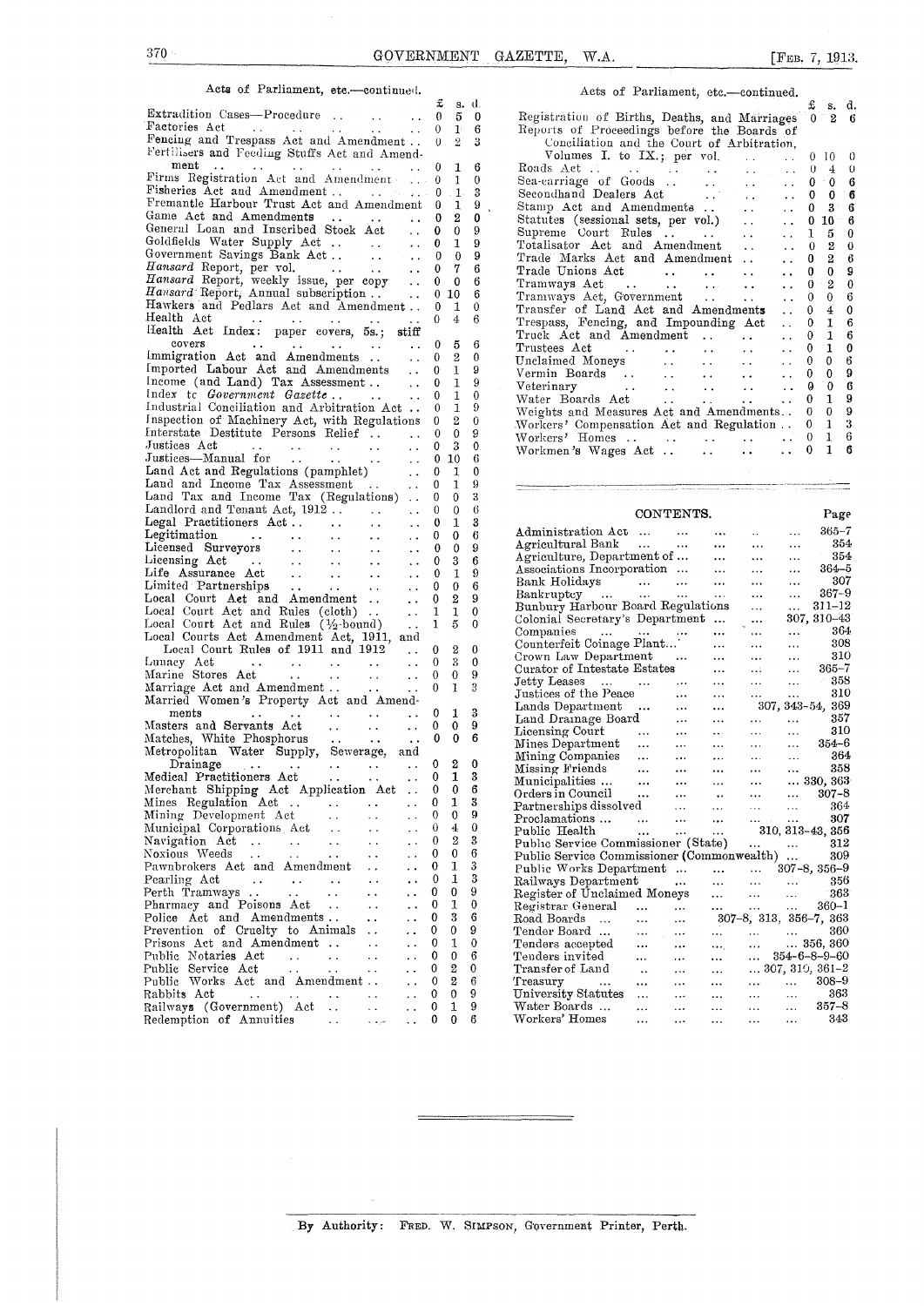### Acts of Parliament, etc.—continued.

|                                                                                                                                                                    | £              | s. d.            |                  |                                                                                                                                                                                                                                 |                             |
|--------------------------------------------------------------------------------------------------------------------------------------------------------------------|----------------|------------------|------------------|---------------------------------------------------------------------------------------------------------------------------------------------------------------------------------------------------------------------------------|-----------------------------|
|                                                                                                                                                                    |                |                  |                  | £<br>s, d<br>0 <sup>1</sup>                                                                                                                                                                                                     |                             |
| Factories Act<br>$\cdots$ 0 1                                                                                                                                      |                |                  | 6                | Registration of Births, Deaths, and Marriages<br>2 <sub>0</sub>                                                                                                                                                                 |                             |
| Fencing and Trespass Act and Amendment 0.2                                                                                                                         |                |                  | 3                | Reports of Proceedings before the Boards of                                                                                                                                                                                     |                             |
| Fertilisers and Feeding Stuffs Act and Amend-                                                                                                                      |                |                  |                  | Conciliation and the Court of Arbitration,                                                                                                                                                                                      |                             |
|                                                                                                                                                                    |                |                  |                  | Volumes I. to IX.; per vol.<br>0 10<br><b>Contract</b><br>$\sim$ $\sim$                                                                                                                                                         | $\mathcal{L}_{\mathcal{L}}$ |
| ment<br>$\cdots$ and $\cdots$ are all $\cdots$ and $\cdots$ are $\cdots$                                                                                           |                |                  | 6                | 0<br>$\overline{4}$<br>$\sim 10^{11}$ km $^{-1}$<br>$\sim$ $\sim$                                                                                                                                                               | €                           |
| Firms Registration Act and Amendment  0 1                                                                                                                          |                |                  | $\theta$         | $\pm 0$<br>0<br>$\langle\hat{A} \hat{A}\rangle$<br><b>SALE</b><br>$\sim 10^{-1}$                                                                                                                                                | -6                          |
|                                                                                                                                                                    |                |                  | 3                | Sea-carriage of Goods<br>Secondhand Dealers Act<br>$\mathcal{O}(\sqrt{2})$<br>$\bf{0}$<br>0<br>$\sim$ $\sim$                                                                                                                    | - 6                         |
| Fremantle Harbour Trust Act and Amendment 0                                                                                                                        |                | 1                | 9                | $3^{\circ}$<br>$\bf{0}$<br>$\ddotsc$                                                                                                                                                                                            | 6                           |
|                                                                                                                                                                    |                | 2                | 0                | $0\,10$<br>$\ddot{\phantom{a}}$ .                                                                                                                                                                                               | 6                           |
| General Loan and Inscribed Stock Act  0                                                                                                                            |                | $\mathbf{0}$     | 9                | 1<br>- 5<br>$\sim 10^{-1}$                                                                                                                                                                                                      | 0                           |
| Goldfields Water Supply Act  0                                                                                                                                     |                | $\mathbf{1}$     | 9                | Totalisator Act and Amendment<br>$\boldsymbol{2}$<br>$\theta$<br>$\ddot{\phantom{a}}$                                                                                                                                           | -0                          |
|                                                                                                                                                                    |                |                  | 9                | Trade Marks Act and Amendment<br>$\overline{2}$<br>0<br>$\sim$ $\sim$                                                                                                                                                           | 6                           |
|                                                                                                                                                                    |                |                  | 6                | Trade Unions Act<br>0<br>$\bf{0}$<br>$\ddot{\phantom{a}}$                                                                                                                                                                       | 9                           |
|                                                                                                                                                                    |                |                  | 6                | $\overline{2}$<br>$\bf{0}$<br>$\sim 10^{-1}$                                                                                                                                                                                    | $\overline{\mathbf{0}}$     |
| Hamsard Report, Annual subscription  0 10                                                                                                                          |                |                  | 6                | Tramways Act<br>Tramways Act, Government     Transfer of Land Act and Amendments<br>$^{0}$<br>$\mathbf{0}$                                                                                                                      | -6                          |
| Hawkers and Pedlars Act and Amendment 0 1                                                                                                                          |                |                  | $\mathbf 0$      | $\overline{4}$<br>$\bf{0}$<br>$\sim 10^{-1}$                                                                                                                                                                                    | $\Omega$                    |
| Health Act $\ldots$ $\ldots$ $\ldots$ $\ldots$ $\qquad \qquad \ldots$ 0 4                                                                                          |                |                  | 6                | $\mathbf{1}$<br>$\mathbf{0}$                                                                                                                                                                                                    | 6                           |
| Health Act Index: paper covers, 5s.; stiff                                                                                                                         |                |                  |                  | Trespass, Fencing, and Impounding Act<br>$\sim 10^{-1}$<br>$\mathbf{0}$<br>$\mathbf{1}$                                                                                                                                         | 6                           |
| covers<br>$\cdots$ 0 5                                                                                                                                             |                |                  | 6                | Truck Act and Amendment<br>$\sim 10^{-11}$                                                                                                                                                                                      |                             |
| Immigration Act and Amendments  0                                                                                                                                  |                | $^{2}$           | $\boldsymbol{0}$ | Trustees Act<br>$\Omega$<br>$\mathbf{1}$<br>$\sim 10^{-10}$<br>$\mathbf{z}$ , $\mathbf{z}$ , $\mathbf{z}$<br><b>Contract Contract</b><br>$\mathbf{A}$ and $\mathbf{A}$ and $\mathbf{A}$<br>$\sim 10^{-11}$                      | $\theta$                    |
| Imported Labour Act and Amendments  0                                                                                                                              |                | 1                | 9                | Unclaimed Moneys<br>Vermin Boards<br>0<br>0 <sub>6</sub><br>$\sim 10^{-10}$<br>$\ddot{\phantom{a}}$                                                                                                                             |                             |
| $1$ ncome (and Land) $\text{Tax}$ Assessment 0                                                                                                                     |                | $\mathbf{1}$     | 9                | 0<br>0<br>$\mathbf{z} \in \mathbb{R}^{n}$<br>$\sim 10$                                                                                                                                                                          | - 9                         |
| Index to Government Gazette                                                                                                                                        |                | 1                | $\mathbf{0}$     | $\mathbf{0}$                                                                                                                                                                                                                    |                             |
| $\cdots$ $\cdots$ 0                                                                                                                                                |                |                  | 9                | $\Omega$<br>1                                                                                                                                                                                                                   | -9                          |
| Industrial Conciliation and Arbitration Act 0                                                                                                                      |                | 1                |                  | Weights and Measures Act and Amendments<br>$\overline{0}$<br>$\theta$                                                                                                                                                           |                             |
| Inspection of Machinery Act, with Regulations 0 2                                                                                                                  |                |                  | $\theta$         | $1 -$<br>$\mathbf{0}$<br>Workers' Compensation Act and Regulation                                                                                                                                                               |                             |
| Interstate Destitute Persons Relief 0                                                                                                                              |                | $\mathbf{0}$     | 9                | $1\quad 6$<br>Workers' Homes  0                                                                                                                                                                                                 |                             |
| Justices Act<br>$\cdots$ $\cdots$ $\cdots$ $\cdots$ $\cdots$ $\cdots$ 0                                                                                            |                | 3                | $\Omega$         | 1 <sub>6</sub><br>$\mathbf{L}$ , $\mathbf{L}$<br>0<br>Workmen's Wages Act<br>$\ddotsc$                                                                                                                                          |                             |
|                                                                                                                                                                    |                |                  | -6               |                                                                                                                                                                                                                                 |                             |
|                                                                                                                                                                    |                |                  | 0                |                                                                                                                                                                                                                                 |                             |
|                                                                                                                                                                    |                |                  | 9                | and a series of the company of the company of the company of the company of the company of the company of the<br>The company of the company of the company of the company of the company of the company of the company of the c |                             |
| Land Tax and Income Tax (Regulations)  0                                                                                                                           |                | $\mathbf{0}$     | 3                |                                                                                                                                                                                                                                 |                             |
|                                                                                                                                                                    |                | $\mathbf{0}$     | 6                | CONTENTS.<br>Page                                                                                                                                                                                                               |                             |
|                                                                                                                                                                    |                | 1                | 3                |                                                                                                                                                                                                                                 |                             |
| $\sim 10^{-1}$                                                                                                                                                     | $\theta$       | 0                | 6                | Administration Act<br>$365 - 7$<br>$\sim 10^{-11}$                                                                                                                                                                              |                             |
| <b>College</b>                                                                                                                                                     | $\mathbf{0}$   | $\theta$         | 9                | Agricultural Bank<br>354<br>$\sim 100$<br>$\cdots$                                                                                                                                                                              |                             |
| $\sim 10^{-1}$                                                                                                                                                     | $\bf{0}$       | 3                | 6                | Agriculture, Department of<br>354<br>$\sim$ . $\sim$<br>$\cdots$                                                                                                                                                                |                             |
| Legitimation<br>Lieensed Surveyors<br>Lieensing Act (1999)<br>Lieensing Act (1999)<br>Life Assurance Act (1999)<br>Limited Partnerships<br>$\sim 100$ km s $^{-1}$ | $\bf{0}$       | 1                | 9                | Associations Incorporation<br>$364 - 5$<br>$\cdots$<br>$\sim$ $\sim$ $\sim$                                                                                                                                                     |                             |
| $\sim 10^{-11}$                                                                                                                                                    | $\mathbf{0}$   | $\bf{0}$         | -6               | - 307<br>Bank Holidays<br>Bankruptcy<br>$\sim 100$<br>$\cdots$                                                                                                                                                                  |                             |
| Local Court Aet and Amendment<br>$\sim 10^{-11}$                                                                                                                   | $\bf{0}$       | $\boldsymbol{2}$ | 9                | $367 - 9$<br>$\cdots$<br>$\ddotsc$                                                                                                                                                                                              |                             |
| Local Court Act and Rules (cloth).                                                                                                                                 | $\mathbf{1}$   | 1                | $\bf{0}$         | Bunbury Harbour Board Regulations<br>$311 - 12$<br>$\ddotsc$<br>$\cdots$                                                                                                                                                        |                             |
| $\sim 100$<br>Local Court Act and Rules (1/2-bound)                                                                                                                | $\mathbf{1}$   | 5                | $\bf{0}$         | 307, 310-43<br>Colonial Secretary's Department<br>$\ddotsc$                                                                                                                                                                     |                             |
| <b>Contractor</b>                                                                                                                                                  |                |                  |                  | 364<br>$\ddotsc$<br>$\cdots$                                                                                                                                                                                                    |                             |
| Local Courts Act Amendment Act, 1911, and                                                                                                                          |                |                  |                  | Companies<br>Counterfeit Coinage Plant<br>308<br>$\cdots$<br>$\cdots$                                                                                                                                                           |                             |
| Local Court Rules of 1911 and 1912<br>$\sim 10^{-11}$                                                                                                              | $\bf{0}$       | $\boldsymbol{2}$ | $\theta$         | 310<br>Crown Law Department<br>$\cdots$<br>$\cdots$                                                                                                                                                                             |                             |
| Lunacy Act<br>and some strategies and strategies are<br>$\sim 10^{-11}$                                                                                            | $\overline{0}$ | 3                | $\theta$         | $365 - 7$<br>Curator of Intestate Estates<br>$\mathbf{r}$ , $\mathbf{r}$ , $\mathbf{r}$ , $\mathbf{r}$<br>$\ddotsc$<br>i.                                                                                                       |                             |
| Marine Stores Act (a)<br>Marriage Act and Amendment                                                                                                                | $\overline{0}$ | $\mathbf{0}$     | 9                | - 358<br>Jetty Leases<br><b>Section</b><br>$\sim$ . $\sim$<br>$\cdots$                                                                                                                                                          |                             |
|                                                                                                                                                                    | $\mathbf{0}$   | $\mathbf{1}$     | 3                | 310<br>and the control<br>$\cdots$                                                                                                                                                                                              |                             |
| Married Women's Property Act and Amend-                                                                                                                            |                |                  |                  | Justices of the Peace<br>Lands Department<br>$\ldots$ 307, 343-54, 369                                                                                                                                                          |                             |
| ments 0<br>Masters and Servants Act 0                                                                                                                              |                | 1                | -3               | 357<br>$\mathbf{1.1}$ and $\mathbf{1.1}$<br><b>Section</b><br><b>SALE</b>                                                                                                                                                       |                             |
|                                                                                                                                                                    |                | 0                | 9                | Land Drainage Board<br>Licensing Court<br>310<br>$\mathcal{L}_{\mathcal{A}}$ , $\mathcal{L}_{\mathcal{A}}$<br>$\sim 10^{-10}$<br>$\mathbf{1.11}$ .                                                                              |                             |
| Matches, White Phosphorus 0                                                                                                                                        |                | $\bf{0}$         | - 6              | <b>ARCHITECT</b><br>$354 - 6$                                                                                                                                                                                                   |                             |
| Metropolitan Water Supply, Sewerage, and                                                                                                                           |                |                  |                  | Mines Department<br>$\Delta\Delta\Delta\approx 0.01$<br>$\mathcal{L}_{\mathcal{F}}$ and $\mathcal{L}_{\mathcal{F}}$<br><b>Asset Control</b>                                                                                     |                             |
| Drainage 0 2<br>Medical Practitioners Act 0 1                                                                                                                      |                |                  | $\overline{0}$   | Mining Companies<br>364<br>$\mathbf{1}$ and $\mathbf{1}$ and $\mathbf{1}$<br>$\mathbf{1}$ and $\mathbf{1}$ and $\mathbf{1}$<br><b>Contract Contract</b><br>358<br>$\mathbf{m} \in \mathbb{R}^n$                                 |                             |
|                                                                                                                                                                    |                | $\mathbf{1}$     | - 3              | Missing Friends<br>Municipalities<br>$\mathbf{1.1.1}$ and $\mathbf{1.1.1}$<br>$\mathbf{r}$ , $\mathbf{r}$ , $\mathbf{r}$ , $\mathbf{r}$<br>$\mathbf{r}$ , $\mathbf{r}$ , $\mathbf{r}$ , $\mathbf{r}$                            |                             |
|                                                                                                                                                                    |                | $\mathbf{0}$     | 6                | $\dots 330, 363$<br>$\cdots$ $\cdots$<br>$\ldots$                                                                                                                                                                               |                             |
| Merchant Shipping Act Application Act  0<br>Mines Regulation Act  0                                                                                                |                | 1                | 3                | Orders in Council<br>$\dots$ 807-8<br>$\ldots$ .                                                                                                                                                                                |                             |
| Mining Development Act                                                                                                                                             | 0              | $\mathbf{0}$     | 9                | Partnerships dissolved<br>364<br>$\ldots$<br>$\ldots$<br>$\ldots$<br>$\ldots$                                                                                                                                                   |                             |
| $\sim$ $\sim$<br>$\ddotsc$                                                                                                                                         |                |                  | $\mathbf{0}$     | Proclamations<br>307<br>$\ddotsc$<br>$\ddotsc$<br>$\cdots$<br>$\cdots$<br>$\cdots$                                                                                                                                              |                             |
| Municipal Corporations Act<br>$\sim$ $\sim$<br>$\ddot{\phantom{0}}$<br>$\ddot{\phantom{1}}$                                                                        | 0              | 4                |                  | 310, 313-43, 356<br>Public Health<br>$\ddotsc$<br>$\ddotsc$<br>$\cdots$                                                                                                                                                         |                             |
| Navigation Act<br>$\sim$ $\sim$<br>$\ddot{\phantom{a}}$<br>$\ddot{\phantom{1}}$<br>$\epsilon$ .<br>$\ddot{\phantom{a}}$                                            | 0              | $\overline{2}$   | 3                | Public Service Commissioner (State)<br>312<br>$\ddotsc$<br>$\ddotsc$                                                                                                                                                            |                             |
| Noxious Weeds<br>$\sim$ $\sim$<br>$\sim$ .<br>$\ddot{\phantom{0}}$<br>$\ddot{\phantom{0}}$                                                                         | 0              | 0                | 6                | Public Service Commissioner (Commonwealth)<br>309                                                                                                                                                                               |                             |
| Pawnbrokers Act and Amendment<br>$\ddot{\phantom{0}}$                                                                                                              | 0              | 1                | 3                | $307 - 8, 356 - 9$<br>Public Works Department<br>$\ddotsc$<br>$\ldots$                                                                                                                                                          |                             |
| Pearling Act<br>$\ddot{\phantom{a}}$ .<br>$\sim$ $\sim$<br>$\ddot{\phantom{0}}$<br>$\epsilon$ .<br>$\ddot{\phantom{0}}$                                            | 0              | 1                | 3                | Railways Department<br>356<br>$\cdots$<br>$\ddotsc$<br>$\ldots$<br>$\ldots$                                                                                                                                                     |                             |
| Perth Tramways<br>i.<br>$\ddot{\phantom{a}}$<br>$\ddot{\phantom{0}}$                                                                                               | 0              | 0                | 9                | Register of Unclaimed Moneys<br>363<br>$\cdots$<br>$\ldots$<br>$\ldots$                                                                                                                                                         |                             |
| Pharmacy and Poisons Act<br>$\sim$ $\sim$<br>$\ddotsc$<br>$\ddot{\phantom{1}}$                                                                                     | 0              | 1                | 0                | $360 - 1$<br>Registrar General<br>$\ddotsc$<br>$\ddotsc$<br>$\cdots$<br>                                                                                                                                                        |                             |
| Police Act and Amendments<br>$\ddot{\phantom{a}}$<br>$\ddot{\phantom{0}}$                                                                                          | 0              | 3                | 6                | Road Boards<br>$307-8$ , $313$ , $356-7$ , $363$<br>$\dddotsc$<br>$\cdots$<br>$\cdots$                                                                                                                                          |                             |
| Prevention of Cruelty to Animals<br>$\sim$ .<br>$\ddot{\phantom{a}}$                                                                                               | 0              | 0                | 9                | 360<br>Tender Board<br>$\mathbf{r}$ , $\mathbf{r}$ , $\mathbf{r}$<br>$\ddotsc$<br>$\ldots$<br>$\ldots$<br>$\ldots$                                                                                                              |                             |
| Prisons Act and Amendment<br>$\ddotsc$<br>$\ddot{\phantom{1}}$                                                                                                     | 0              | 1                | 0                | 356, 360<br>Tenders accepted<br>$\ddotsc$<br>$\ldots$                                                                                                                                                                           |                             |
| Public Notaries Act<br>$\sim$ $\sim$<br>$\sim$ $\sim$<br>$\ddotsc$<br>$\ddot{\phantom{0}}$                                                                         | 0              | $\boldsymbol{0}$ | 6                | $\cdots$<br>$\cdots$<br>Tenders invited<br>$354 - 6 - 8 - 9 - 60$<br>$\cdots$                                                                                                                                                   |                             |
| Public Service Act<br>$\ddot{\phantom{0}}$<br>$\ddotsc$                                                                                                            | 0              | 2                | $\mathbf{0}$     | $\ddotsc$<br>$\ddotsc$<br>$\ldots$<br>Transfer of Land<br>$\ldots$ 307, 310, 361-2                                                                                                                                              |                             |
| $\ddot{\phantom{0}}$<br>$\ddot{\phantom{0}}$                                                                                                                       | 0              | 2                | 6                | $\ddotsc$<br>$\cdots$<br>$\ldots$<br>$308 - 9$                                                                                                                                                                                  |                             |
| Public Works Act and Amendment<br>i.                                                                                                                               |                |                  |                  | Treasury<br>$\ddotsc$<br>$\ddotsc$<br>$\cdots$<br>$\epsilon \neq \epsilon^{\prime}$<br>$\ddotsc$                                                                                                                                |                             |
| Rabbits Act<br>$\sim$ $\sim$<br>$\sim$ $\sim$<br>$\sim$ $\sim$                                                                                                     | 0              | $\mathbf 0$      | 9                | University Statutes<br>363<br>$\dots$<br>$\ldots$<br>$\ldots$<br>$\ddotsc$<br>$\ddotsc$                                                                                                                                         |                             |
| Railways (Government) Act<br>$\sim$ $\sim$<br>$\ddot{\phantom{0}}$                                                                                                 | 0              | 1                | 9                | Water Boards<br>$357 - 8$<br>$\ldots$<br><br>$\ldots$<br>$\cdots$<br>$\cdots$                                                                                                                                                   |                             |
| Redemption of Annuities<br>$\epsilon \rightarrow \rho \bar{\nu}$<br>$\sim$ $\sim$                                                                                  | 0              | $\bf{0}$         | 6                | Workers' Homes<br>343<br>$\ddotsc$<br>$\ldots$<br>$\sim$ .<br>$\cdots$<br>$\ldots$                                                                                                                                              |                             |
|                                                                                                                                                                    |                |                  |                  |                                                                                                                                                                                                                                 |                             |

| Acts of Parliament, etc.-continued.                                                                                                               |                |                |              | Acts of Parliament, etc.-continued.                                                             |                     |
|---------------------------------------------------------------------------------------------------------------------------------------------------|----------------|----------------|--------------|-------------------------------------------------------------------------------------------------|---------------------|
|                                                                                                                                                   |                | s. d.          |              |                                                                                                 | s. d.               |
| Extradition Cases-Procedure<br>$\sim$ $\sim$                                                                                                      |                | 5              | $\mathbf{0}$ | Registration of Births, Deaths, and Marriages                                                   | 2 <sub>6</sub>      |
|                                                                                                                                                   |                |                |              | Reports of Proceedings before the Boards of                                                     |                     |
| Fencing and Trespass Act and Amendment 0 2 3                                                                                                      |                |                |              | Conciliation and the Court of Arbitration,                                                      |                     |
| Fertilisers and Feeding Stuffs Act and Amend-                                                                                                     |                |                |              | Volumes I. to $IX$ ; per vol.<br>10<br>$\mathbf{L}$<br>$\mathbf{L}$                             | - 0                 |
| $ment \dots \dots \dots \dots \dots \dots$                                                                                                        |                |                | -6           | -0<br><b>Contract</b>                                                                           | $4 \t0$             |
| Firms Registration Act and Amendment  0 1                                                                                                         |                |                | $^{\circ}$   | Sea-carriage of Goods<br>$\mathbf{L}(\mathbf{L})$ and $\mathbf{L}(\mathbf{L})$<br>$\cdots$ 0    | $\degree$ 0 6       |
|                                                                                                                                                   |                |                |              | Secondhand Dealers Act<br>$\sim 10^{-10}$<br>$\cdots$ 0                                         | 0 <sub>6</sub>      |
| Fremantle Harbour Trust Act and Amendment 0 1                                                                                                     |                |                |              | Stamp Act and Amendments<br>$\ddotsc$                                                           | $0 \quad 3 \quad 6$ |
|                                                                                                                                                   |                |                |              | Statutes (sessional sets, per vol.).<br>$\therefore$ 0 10 6                                     |                     |
| General Loan and Inscribed Stock Act 0                                                                                                            |                | $\Omega$       |              | $\cdots$ 1                                                                                      | 5.                  |
|                                                                                                                                                   |                |                | 9            | Totalisator Act and Amendment<br>$\ldots$ 0<br>$\ddot{\phantom{a}}$                             |                     |
|                                                                                                                                                   |                | $\theta$       |              | Trade Marks Act and Amendment<br>$\sim 10^{-10}$                                                |                     |
| $\ldots$ 0 7                                                                                                                                      |                |                | 6            | Trade Unions Act<br>$\cdots$ 0                                                                  |                     |
| Hansard Report, weekly issue, per copy                                                                                                            | $\mathbf{0}$   |                | 6            | $\ldots$ 0                                                                                      |                     |
| Hamsard Report, Annual subscription                                                                                                               | $\overline{0}$ | $10\,$         | - 6          | Tramways Act, Government<br>$\mathbf{1}$ , $\mathbf{1}$<br>$\mathbf{L}$ and $\mathbf{L}$        |                     |
| Hawkers and Pedlars Act and Amendment                                                                                                             | $\Omega$       | $\mathbf{1}$   |              | Transfer of Land Act and Amendments<br>$\Omega$                                                 | $\theta$            |
| $\ldots$ 0                                                                                                                                        |                | $\overline{4}$ | -6           | $\mathbf{L}$                                                                                    |                     |
| Health Act Index: paper covers, 5s.; stiff                                                                                                        |                |                |              | Trespass, Fencing, and Impounding Act<br>$\theta$<br>$\mathbf{A}$                               |                     |
| covers<br>$\ddot{\phantom{a}}$<br>the contract of the contract of the contract of the contract of the contract of the contract of the contract of | $\Omega$       | 5              | -6           | Truck Act and Amendment<br>$\mathbf{r}$                                                         |                     |
| Immigration Act and Amendments<br>$\cdots$ 0                                                                                                      |                | $\overline{2}$ | $\theta$     | and the state of the state of the<br>$\mathbf{A}$                                               | $\theta$            |
| Imported Labour Act and Amendments<br>$\cdots$ 0                                                                                                  |                |                | 9            | Unclaimed Moneys<br>$\Omega$<br>and the state of the state of the state of the<br>$\sim$ $\sim$ | -6                  |
| Income (and Land) Tax Assessment                                                                                                                  |                |                | 9            | Vermin Boards<br>$\mathbf{1}$ , $\mathbf{1}$ , $\mathbf{1}$<br>$\sim 10^{-1}$                   |                     |
| Index to Government Gazette<br><b><i>Contract Contract Services</i></b>                                                                           | $\mathbf{0}$   |                | $\Omega$     | $\ddotsc$                                                                                       | 6                   |
| Industrial Conciliation and Arbitration Act. 0                                                                                                    |                |                | 9            | Water Boards Act<br>$\sim 10^{-10}$<br>$\sim 10^{-10}$ m $^{-1}$<br><b>Alan Adam</b>            |                     |
|                                                                                                                                                   |                | $^{2}$         |              | Weights and Measures Act and Amendments                                                         | 9                   |
| Inspection of Machinery Act, with Regulations 0                                                                                                   |                |                | $\theta$     | Workers' Compensation Act and Regulation 0                                                      | 3                   |
| Interstate Destitute Persons Relief                                                                                                               |                |                | 9            | Workers' Homes 0                                                                                |                     |
| Justices Act<br>$\ddot{\phantom{0}}$<br>Instigac, Monual for                                                                                      |                | 0.10           |              | Workmen's Wages Act<br>0<br>$\sim 10^{-10}$ .<br>$\sim 10^{-11}$                                |                     |
|                                                                                                                                                   |                |                |              |                                                                                                 |                     |

| Legal Practitioners Act                                                                                                            |                                        | . .                     |                                              | v            | Æ.             | ð                | $365 - 7$                                                                                                                    |
|------------------------------------------------------------------------------------------------------------------------------------|----------------------------------------|-------------------------|----------------------------------------------|--------------|----------------|------------------|------------------------------------------------------------------------------------------------------------------------------|
| Legitimation<br>$\sim$ .<br>$\ddot{\phantom{a}}$ .                                                                                 | . .                                    | $\ddot{\phantom{0}}$    | $\ddot{\phantom{0}}$                         | 0            | 0              | $6 \overline{6}$ | Administration Act<br>$\cdots$                                                                                               |
| Licensed Surveyors<br>$\ddot{\phantom{a}}$                                                                                         | $\ddotsc$                              | $\ddot{\phantom{a}}$    | $\ddot{\phantom{a}}$                         | $\mathbf 0$  | $\theta$       | 9                | 354<br>Agricultural Bank<br><b>Contract</b><br>$\cdots$<br>$\cdots$<br>$\cdots$<br>$\cdots$                                  |
| Licensing Act<br><b>Contract</b><br>$\sim$ $\sim$                                                                                  | $\ddotsc$                              | $\ddot{\phantom{a}}$    | $\ddot{\phantom{a}}$                         | 0            | 3              | 6                | 354<br>Agriculture, Department of<br>$\ldots$<br>$\cdots$<br>$\cdots$                                                        |
| Life Assurance Act<br>$\sim 10$                                                                                                    | $\ddot{\phantom{a}}$                   | $\epsilon$ .            | $\ddot{\phantom{a}}$                         | $\Omega$     |                | 9                | $364 - 5$<br>Associations Incorporation<br>$\sim$ $\sim$ $\sim$<br>$\cdots$<br>$\cdots$                                      |
| Limited Partnerships<br>$\sim$ $\sim$                                                                                              | $\mathbf{L}$ . The set of $\mathbf{L}$ | $\ddot{\phantom{a}}$    | $\ddot{\phantom{a}}$                         | $\Omega$     | $\Omega$       | 6                | 307<br>Bank Holidays<br>$\cdots$<br>$\cdots$<br>$\cdots$                                                                     |
| Local Court Aet and Amendment                                                                                                      |                                        | $\ddot{\phantom{a}}$    | $\ddot{\phantom{a}}$                         | 0            | $\overline{2}$ | 9                | $367 - 9$<br>Bankruptcy<br>$\ddotsc$<br>$\ddotsc$<br>$\mathbf{r}$<br>$\sim 100$                                              |
| Local Court Act and Rules (cloth)                                                                                                  |                                        |                         | $\ddot{\phantom{0}}$                         | $\mathbf{1}$ | $\mathbf{1}$   | $\Omega$         | $311 - 12$<br>Bunbury Harbour Board Regulations<br>$\ddotsc$<br>$\ddotsc$                                                    |
| Local Court Act and Rules $(\frac{1}{2}$ -bound)                                                                                   |                                        |                         | $\ddot{\phantom{a}}$                         | T            | $\overline{5}$ | $\Omega$         | 307, 310-43<br>Colonial Secretary's Department<br>$\cdots$                                                                   |
| Local Courts Act Amendment Act, 1911, and                                                                                          |                                        |                         |                                              |              |                |                  | 364<br>Companies<br>المعقار المتعارف الفقفان<br>$\cdots$<br>$\cdots$<br>$\cdots$                                             |
| Local Court Rules of 1911 and 1912                                                                                                 |                                        |                         |                                              | 0            | 2              | $\theta$         | Counterfeit Coinage Plant<br>308<br>$\cdots$<br>$\cdots$<br>$\cdots$                                                         |
| Lunacy Act<br><b>Administration</b>                                                                                                |                                        |                         | $\ddot{\phantom{a}}$<br>$\ddot{\phantom{0}}$ | 0            | 3              | 0                | 310<br>Crown Law Department<br>$\ddotsc$<br>$\cdots$                                                                         |
| Marine Stores Act<br><b>Contractor</b>                                                                                             | $\ddot{\phantom{a}}$                   | $\ddot{\phantom{a}}$    |                                              | $\Omega$     | $\Omega$       | 9                | $365 - 7$<br>Curator of Intestate Estates<br>$\mathbf{r}$<br>$\cdots$<br>$\ddotsc$                                           |
|                                                                                                                                    | <b>Contract</b>                        | $\sim 100$ km s $^{-1}$ | $\ddot{\phantom{a}}$                         | $\Omega$     | 1              | 3                | 358<br>Jetty Leases<br>$\cdots$<br>$\ddot{\phantom{a}}$<br>$\cdots$<br>$\cdots$                                              |
| Marriage Act and Amendment                                                                                                         | $\sim$ $\sim$ $\sim$                   |                         | $\ddotsc$                                    |              |                |                  | 310<br>Justices of the Peace<br>$\ddotsc$<br>$\cdots$<br>$\ddotsc$                                                           |
| Married Women's Property Act and Amend-                                                                                            |                                        |                         |                                              |              |                |                  | 307, 343-54, 369<br>Lands Department<br>$\cdots$<br>$\ddotsc$                                                                |
| ments<br>and the state of the state of the                                                                                         | $\ddot{\phantom{a}}$                   | $\ddot{\phantom{0}}$    | $\ddot{\phantom{1}}$                         | 0            | 1              | 3                | 357<br>Land Drainage Board<br>$\cdots$<br>$\mathbf{r}$<br>$\ddotsc$<br>$\cdots$                                              |
| Masters and Servants Act                                                                                                           | $\sim 10$                              | $\ddot{\phantom{a}}$    | $\ddot{\phantom{a}}$                         | 0            | $\Omega$       | <b>Q</b>         | 310<br>Licensing Court<br>$\ldots$<br>$\cdots$<br>$\cdots$<br>$\ddotsc$<br>$\sim$ $\sim$ $\sim$                              |
| Matches. White Phosphorus                                                                                                          | $\ddot{\phantom{a}}$                   | $\ddot{\phantom{0}}$    | $\ddot{\phantom{a}}$                         | 0            | $\bf{0}$       | 6                | $354 - 6$<br>Mines Department<br>$\ldots$<br>$\ddotsc$<br>$\cdots$<br>$\cdots$                                               |
| Metropolitan Water Supply, Sewerage,                                                                                               |                                        |                         | and                                          |              |                |                  | 364<br>Mining Companies<br>$\cdots$<br>$\cdots$<br>$\cdots$<br>$\cdots$<br>$\cdots$                                          |
| Drainage<br><b>Contact Contact Contact Contact Contact Contact Contact Contact Contact Contact Contact Contact Contact Contact</b> | All Andrews                            | $\sim 10^{-1}$          |                                              | 0            | $\overline{2}$ | 0                | 358<br>Missing Friends<br>$\cdots$<br>$\cdots$<br>$\cdots$<br>$\cdots$<br>$\cdots$                                           |
| Medical Practitioners Act                                                                                                          | $\ddot{\phantom{0}}$                   | $\sim 10^{-1}$          | $\ddot{\phantom{0}}$                         | $\Omega$     | 1              | 3                | $$ 330, 363<br>Municipalities<br>$\cdots$<br>$\ddotsc$<br>$\cdots$<br>$\ddotsc$                                              |
| Merchant Shipping Act Application Act                                                                                              |                                        |                         |                                              | 0            | $\Omega$       | 6                | $307 - 8$<br>Orders in Council<br>$\cdots$<br>$\cdots$<br>$\ddot{\phantom{a}}$<br>$\cdots$<br>$\ddotsc$                      |
|                                                                                                                                    |                                        | $\sim$ $\sim$           | $\sim$                                       | $\Omega$     | 1              | 3                | Partnerships dissolved<br>364<br>$\cdots$<br>$\cdots$<br>$\ddotsc$<br>$\cdots$                                               |
| Mining Development Act                                                                                                             |                                        | $\sim$                  | $\ddot{\phantom{a}}$                         | $\Omega$     | $\Omega$       | 9                | 307<br>Proclamations<br>$\cdots$<br>$\ddotsc$<br>and the<br>$\ddotsc$                                                        |
| Municipal Corporations Act                                                                                                         |                                        | $\ddotsc$               | $\sim$ $\sim$                                | 0            | 4              | $\theta$         | 310, 313-43, 356<br>Public Health<br>$\mathbf{a}$<br>$\mathbf{r}$<br>$\cdots$                                                |
| Navigation Act                                                                                                                     |                                        | $\sim$ $\sim$           | $\ddot{\phantom{a}}$                         | $\bf{0}$     | $\overline{2}$ | 3                | Public Service Commissioner (State)<br>312<br>$\cdots$<br>$\dddotsc$                                                         |
| Noxious Weeds<br><b><i>College College College</i></b><br><b>Contract Contract</b>                                                 | $\ddot{\phantom{0}}$                   | $\ddot{\phantom{0}}$    | $\ddot{\phantom{a}}$                         | 0            | $\bf{0}$       | 6                | 309<br>Public Service Commissioner (Commonwealth)                                                                            |
| Pawnbrokers Act and Amendment                                                                                                      |                                        | $\ddot{\phantom{0}}$    | $\ddot{\phantom{0}}$                         | 0            | $\mathbf{1}$   | 3                | $307 - 8, 356 - 9$<br>Public Works Department<br>$\mathbf{1}$ and $\mathbf{1}$<br>$\mathbf{r}$ , $\mathbf{r}$ , $\mathbf{r}$ |
| Pearling Act<br>and the state of the state of the state of the                                                                     |                                        | $\ddot{\phantom{1}}$ .  | $\ddot{\phantom{0}}$                         | 0            | $\mathbf{1}$   | 3                | Railways Department<br>356<br>$\cdots$<br>$\cdots$<br>$\cdots$<br>$\cdots$                                                   |
| Perth Tramways                                                                                                                     |                                        | $\ddot{\phantom{a}}$ .  | $\ddot{\phantom{0}}$                         | 0            | 0              | 9                | 363<br>Register of Unclaimed Moneys<br>$\cdots$<br>$\cdots$<br>$\ddotsc$                                                     |
| Pharmacy and Poisons Act                                                                                                           |                                        | $\sim$ $\sim$           | $\ddot{\phantom{a}}$                         | $\Omega$     | 1              | $\Omega$         | $360 - 1$<br>Registrar General<br>$\cdots$<br>$\ddotsc$                                                                      |
| Police Act and Amendments                                                                                                          |                                        | $\ddotsc$               | $\ddot{\phantom{a}}$                         | o            | 3              | 6                | $\cdots$<br>$\cdots$<br><br>Road Boards<br>$307-8$ , $313$ , $356-7$ , $363$<br>$\cdots$                                     |
| Prevention of Cruelty to Animals                                                                                                   |                                        |                         | $\ddot{\phantom{0}}$                         | 0            | $\theta$       | 9                | $\cdots$<br>360<br>Tender Board                                                                                              |
| Prisons Act and Amendment                                                                                                          |                                        |                         |                                              | 0            | 1              | 0                | $\ddotsc$<br>Asset of<br>$\dddotsc$<br>say the con-<br>$\ldots$<br>$$ 356, 360                                               |
|                                                                                                                                    |                                        | $\ddot{\phantom{0}}$    | $\ddot{\phantom{a}}$                         |              | $\Omega$       | 6                | Tenders accepted<br>$\cdots$<br>$\cdots$<br>$\cdots$                                                                         |
| Public Notaries Act<br>$\mathbf{r} \cdot \mathbf{r}$ .<br><b>Contract</b>                                                          |                                        | $\ddot{\phantom{a}}$    | $\ddot{\phantom{0}}$                         | 0            |                |                  | $354 - 6 - 8 - 9 - 60$<br>Tenders invited<br>$\cdots$<br>$\cdots$<br>$\cdots$<br>$\cdots$                                    |
| Public Service Act<br><b>Service Contract</b>                                                                                      |                                        | $\ddotsc$               | $\ddot{\phantom{0}}$                         | 0            | $\overline{2}$ | $\mathbf{0}$     | Transfer of Land<br>$\ldots$ 307, 310, 361-2<br>$\cdots$<br>$\ddotsc$<br>$\cdots$                                            |
| Public Works Act and Amendment                                                                                                     |                                        |                         | $\ddot{\phantom{a}}$                         | 0            | $\overline{2}$ | 6                | $308 - 9$<br>Treasury<br>$\ddotsc$<br>$\epsilon$ , $\epsilon$<br>$\cdots$<br>$\cdots$<br>$\cdots$                            |
| Rabbits Act<br>and the state of                                                                                                    | $\cdots$                               |                         |                                              |              | $\Omega$       | 9                | 363<br>University Statutes<br>$\ddotsc$<br>$\cdots$<br>$\ddotsc$<br>$\cdots$<br>$\cdots$                                     |
| Railways (Government) Act                                                                                                          |                                        | $\sim$ $\sim$           | $\ddot{\phantom{0}}$                         | 0            | 1              | 9                | $357 - 8$<br>Water Boards<br>$\cdots$<br>$\cdots$<br>$\cdots$<br>$\cdots$<br>$\cdots$                                        |
| Redemption of Annuities                                                                                                            |                                        | $\sim 10^{11}$          |                                              | n            | U              | 6                | 343<br>Workers' Homes<br>$\cdots$<br>$\cdots$<br>$\cdots$<br>$\cdots$<br>$\cdots$                                            |
|                                                                                                                                    |                                        |                         |                                              |              |                |                  |                                                                                                                              |

By Authority: FRED. W. SIMPSON, Government Printer, Perth.